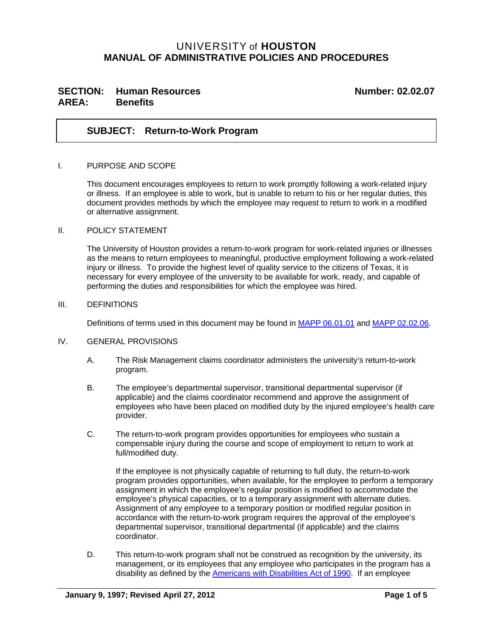## UNIVERSITY of **HOUSTON MANUAL OF ADMINISTRATIVE POLICIES AND PROCEDURES**

## SECTION: Human Resources **Number: 02.02.07 AREA: Benefits**

## **SUBJECT: Return-to-Work Program**

#### I. PURPOSE AND SCOPE

This document encourages employees to return to work promptly following a work-related injury or illness. If an employee is able to work, but is unable to return to his or her regular duties, this document provides methods by which the employee may request to return to work in a modified or alternative assignment.

### II. POLICY STATEMENT

The University of Houston provides a return-to-work program for work-related injuries or illnesses as the means to return employees to meaningful, productive employment following a work-related injury or illness. To provide the highest level of quality service to the citizens of Texas, it is necessary for every employee of the university to be available for work, ready, and capable of performing the duties and responsibilities for which the employee was hired.

#### III. DEFINITIONS

Definitions of terms used in this document may be found in [MAPP 06.01.01](http://www.uh.edu/af/universityservices/policies/mapp/06/060101.pdf) and [MAPP 02.02.06.](http://www.uh.edu/af/universityservices/policies/mapp/02/020206.pdf)

#### IV. GENERAL PROVISIONS

- A. The Risk Management claims coordinator administers the university's return-to-work program.
- B. The employee's departmental supervisor, transitional departmental supervisor (if applicable) and the claims coordinator recommend and approve the assignment of employees who have been placed on modified duty by the injured employee's health care provider.
- C. The return-to-work program provides opportunities for employees who sustain a compensable injury during the course and scope of employment to return to work at full/modified duty.

If the employee is not physically capable of returning to full duty, the return-to-work program provides opportunities, when available, for the employee to perform a temporary assignment in which the employee's regular position is modified to accommodate the employee's physical capacities, or to a temporary assignment with alternate duties. Assignment of any employee to a temporary position or modified regular position in accordance with the return-to-work program requires the approval of the employee's departmental supervisor, transitional departmental (if applicable) and the claims coordinator.

D. This return-to-work program shall not be construed as recognition by the university, its management, or its employees that any employee who participates in the program has a disability as defined by the [Americans with Disabilities Act of 1990.](http://www.ada.gov/pubs/adastatute08.pdf) If an employee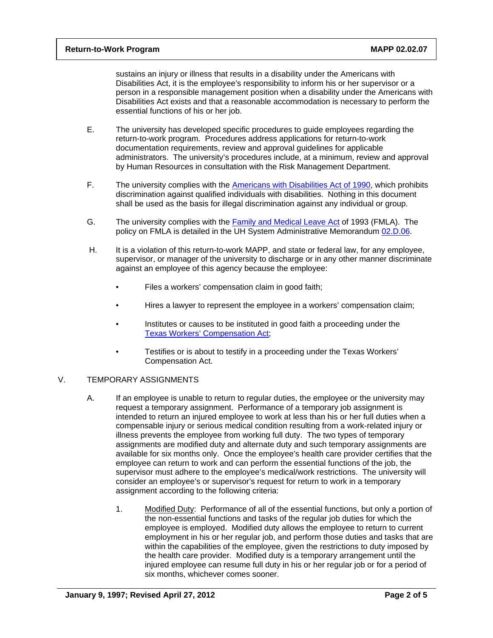sustains an injury or illness that results in a disability under the Americans with Disabilities Act, it is the employee's responsibility to inform his or her supervisor or a person in a responsible management position when a disability under the Americans with Disabilities Act exists and that a reasonable accommodation is necessary to perform the essential functions of his or her job.

- E. The university has developed specific procedures to guide employees regarding the return-to-work program. Procedures address applications for return-to-work documentation requirements, review and approval guidelines for applicable administrators. The university's procedures include, at a minimum, review and approval by Human Resources in consultation with the Risk Management Department.
- F. The university complies with the [Americans with Disabilities Act of 1990](http://www.ada.gov/pubs/adastatute08.pdf), which prohibits discrimination against qualified individuals with disabilities. Nothing in this document shall be used as the basis for illegal discrimination against any individual or group.
- G. The university complies with the **Family and Medical Leave Act of 1993 (FMLA)**. The policy on FMLA is detailed in the UH System Administrative Memorandum [02.D.06](http://www.uh.edu/af/universityservices/policies/sam/2HumanResources/2D6.pdf).
- H. It is a violation of this return-to-work MAPP, and state or federal law, for any employee, supervisor, or manager of the university to discharge or in any other manner discriminate against an employee of this agency because the employee:
	- Files a workers' compensation claim in good faith;
	- Hires a lawyer to represent the employee in a workers' compensation claim;
	- Institutes or causes to be instituted in good faith a proceeding under the [Texas Workers' Compensation Act;](http://www.tdi.texas.gov/wc/act/index.html)
	- Testifies or is about to testify in a proceeding under the Texas Workers' Compensation Act.

## V. TEMPORARY ASSIGNMENTS

- A. If an employee is unable to return to regular duties, the employee or the university may request a temporary assignment. Performance of a temporary job assignment is intended to return an injured employee to work at less than his or her full duties when a compensable injury or serious medical condition resulting from a work-related injury or illness prevents the employee from working full duty. The two types of temporary assignments are modified duty and alternate duty and such temporary assignments are available for six months only. Once the employee's health care provider certifies that the employee can return to work and can perform the essential functions of the job, the supervisor must adhere to the employee's medical/work restrictions. The university will consider an employee's or supervisor's request for return to work in a temporary assignment according to the following criteria:
	- 1. Modified Duty: Performance of all of the essential functions, but only a portion of the non-essential functions and tasks of the regular job duties for which the employee is employed. Modified duty allows the employee to return to current employment in his or her regular job, and perform those duties and tasks that are within the capabilities of the employee, given the restrictions to duty imposed by the health care provider. Modified duty is a temporary arrangement until the injured employee can resume full duty in his or her regular job or for a period of six months, whichever comes sooner.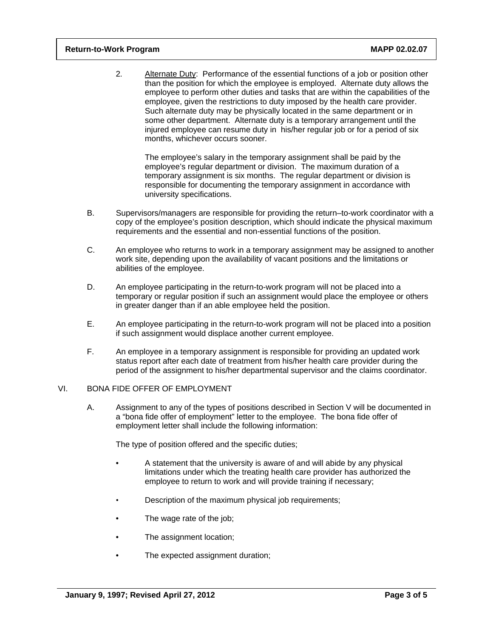2*.* Alternate Duty: Performance of the essential functions of a job or position other than the position for which the employee is employed. Alternate duty allows the employee to perform other duties and tasks that are within the capabilities of the employee, given the restrictions to duty imposed by the health care provider. Such alternate duty may be physically located in the same department or in some other department. Alternate duty is a temporary arrangement until the injured employee can resume duty in his/her regular job or for a period of six months, whichever occurs sooner.

The employee's salary in the temporary assignment shall be paid by the employee's regular department or division. The maximum duration of a temporary assignment is six months. The regular department or division is responsible for documenting the temporary assignment in accordance with university specifications.

- B. Supervisors/managers are responsible for providing the return–to-work coordinator with a copy of the employee's position description, which should indicate the physical maximum requirements and the essential and non-essential functions of the position.
- C. An employee who returns to work in a temporary assignment may be assigned to another work site, depending upon the availability of vacant positions and the limitations or abilities of the employee.
- D. An employee participating in the return-to-work program will not be placed into a temporary or regular position if such an assignment would place the employee or others in greater danger than if an able employee held the position.
- E. An employee participating in the return-to-work program will not be placed into a position if such assignment would displace another current employee.
- F. An employee in a temporary assignment is responsible for providing an updated work status report after each date of treatment from his/her health care provider during the period of the assignment to his/her departmental supervisor and the claims coordinator.

### VI. BONA FIDE OFFER OF EMPLOYMENT

A. Assignment to any of the types of positions described in Section V will be documented in a "bona fide offer of employment" letter to the employee. The bona fide offer of employment letter shall include the following information:

The type of position offered and the specific duties;

- A statement that the university is aware of and will abide by any physical limitations under which the treating health care provider has authorized the employee to return to work and will provide training if necessary;
- Description of the maximum physical job requirements;
- The wage rate of the job;
- The assignment location;
- The expected assignment duration;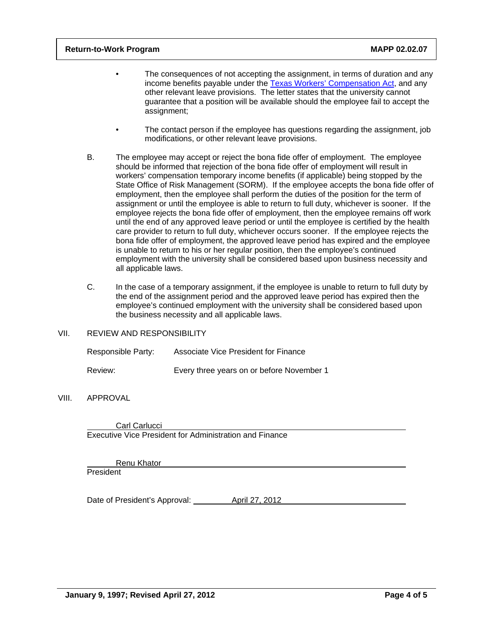- The consequences of not accepting the assignment, in terms of duration and any income benefits payable under the [Texas Workers' Compensation Act,](http://www.tdi.texas.gov/wc/act/index.html) and any other relevant leave provisions. The letter states that the university cannot guarantee that a position will be available should the employee fail to accept the assignment;
- The contact person if the employee has questions regarding the assignment, job modifications, or other relevant leave provisions.
- B. The employee may accept or reject the bona fide offer of employment. The employee should be informed that rejection of the bona fide offer of employment will result in workers' compensation temporary income benefits (if applicable) being stopped by the State Office of Risk Management (SORM). If the employee accepts the bona fide offer of employment, then the employee shall perform the duties of the position for the term of assignment or until the employee is able to return to full duty, whichever is sooner. If the employee rejects the bona fide offer of employment, then the employee remains off work until the end of any approved leave period or until the employee is certified by the health care provider to return to full duty, whichever occurs sooner. If the employee rejects the bona fide offer of employment, the approved leave period has expired and the employee is unable to return to his or her regular position, then the employee's continued employment with the university shall be considered based upon business necessity and all applicable laws.
- C. In the case of a temporary assignment, if the employee is unable to return to full duty by the end of the assignment period and the approved leave period has expired then the employee's continued employment with the university shall be considered based upon the business necessity and all applicable laws.
- VII. REVIEW AND RESPONSIBILITY

| Responsible Party: | Associate Vice President for Finance      |
|--------------------|-------------------------------------------|
| Review:            | Every three years on or before November 1 |

## VIII. APPROVAL

 Carl Carlucci Executive Vice President for Administration and Finance

 Renu Khator **President** 

Date of President's Approval: April 27, 2012